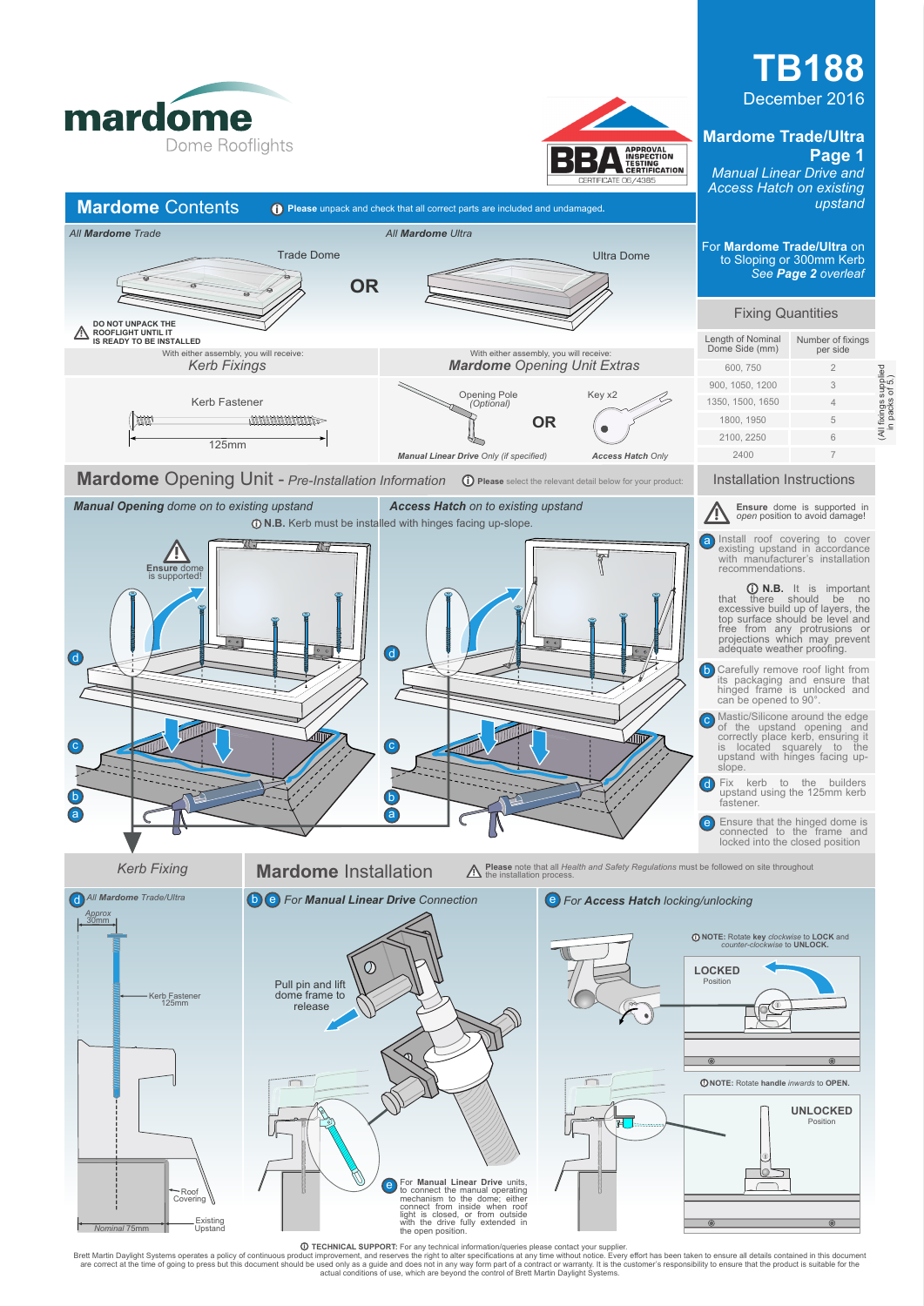

**Mardome** Contents **igeor** Please unpack and check that all correct parts are included and undamaged

*All Mardome Trade All Mardome Ultra*



## **TB188** December 2016 **Mardome Trade/Ultra**

**Page 1** *Manual Linear Drive and Access Hatch on existing upstand*

For **Mardome Trade/Ultra** on to Sloping or 300mm Kerb

> (All fixings supplied in packs of 5.)

ixings supplied<br>packs of 5.)



Trade Dome Ultra Dome

*Nominal* 75mm

**O TECHNICAL SUPPORT:** For any technical information/queries please contact your supplier.<br>Brett Martin Daylight Systems operates a policy of continuous product improvement, and reserves the night to alter specifications a